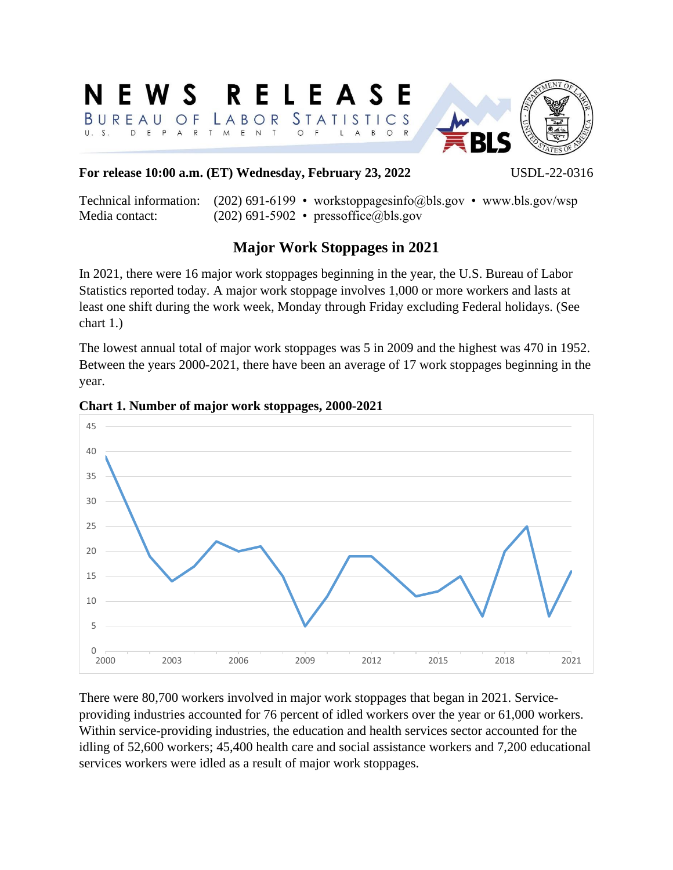### ELEAS  $\mathbf S$ R F  $STATI$ STICS BURE A B OR  $\circ$  $U. S.$ D  $\mathsf{R}$  $\mathbb N$  $\mathsf{T}$  $\Omega$ E P  $\mathsf{T}$  $\mathsf{M}$ E  $\Omega$



# **For release 10:00 a.m. (ET) Wednesday, February 23, 2022** USDL-22-0316

Technical information: (202) 691-6199 • workstoppagesinfo@bls.gov • www.bls.gov/wsp Media contact: (202) 691-5902 • pressoffice@bls.gov

# **Major Work Stoppages in 2021**

In 2021, there were 16 major work stoppages beginning in the year, the U.S. Bureau of Labor Statistics reported today. A major work stoppage involves 1,000 or more workers and lasts at least one shift during the work week, Monday through Friday excluding Federal holidays. (See chart 1.)

The lowest annual total of major work stoppages was 5 in 2009 and the highest was 470 in 1952. Between the years 2000-2021, there have been an average of 17 work stoppages beginning in the year.



### **Chart 1. Number of major work stoppages, 2000-2021**

There were 80,700 workers involved in major work stoppages that began in 2021. Serviceproviding industries accounted for 76 percent of idled workers over the year or 61,000 workers. Within service-providing industries, the education and health services sector accounted for the idling of 52,600 workers; 45,400 health care and social assistance workers and 7,200 educational services workers were idled as a result of major work stoppages.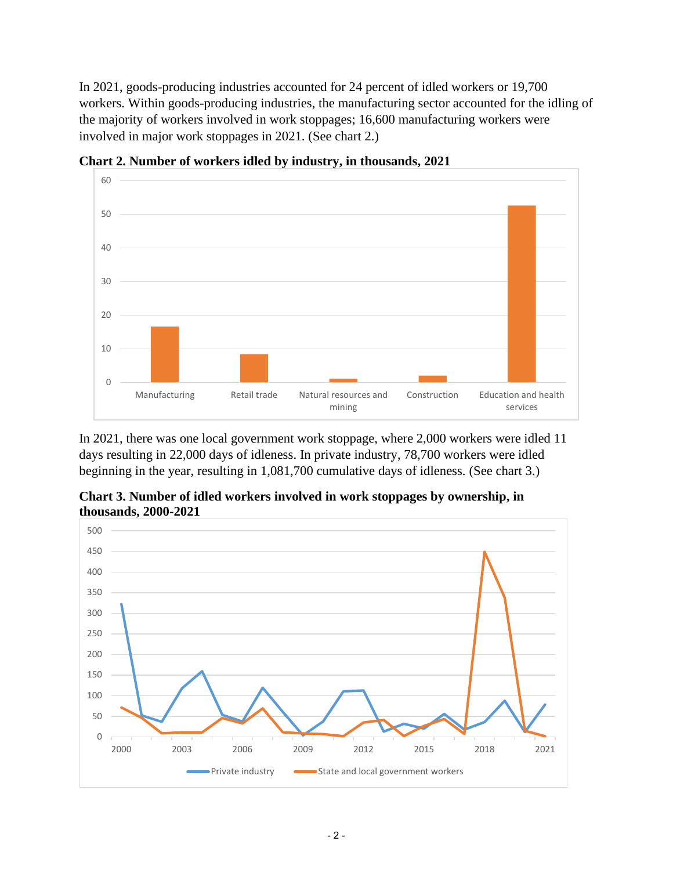In 2021, goods-producing industries accounted for 24 percent of idled workers or 19,700 workers. Within goods-producing industries, the manufacturing sector accounted for the idling of the majority of workers involved in work stoppages; 16,600 manufacturing workers were involved in major work stoppages in 2021. (See chart 2.)



**Chart 2. Number of workers idled by industry, in thousands, 2021**

In 2021, there was one local government work stoppage, where 2,000 workers were idled 11 days resulting in 22,000 days of idleness. In private industry, 78,700 workers were idled beginning in the year, resulting in 1,081,700 cumulative days of idleness. (See chart 3.)